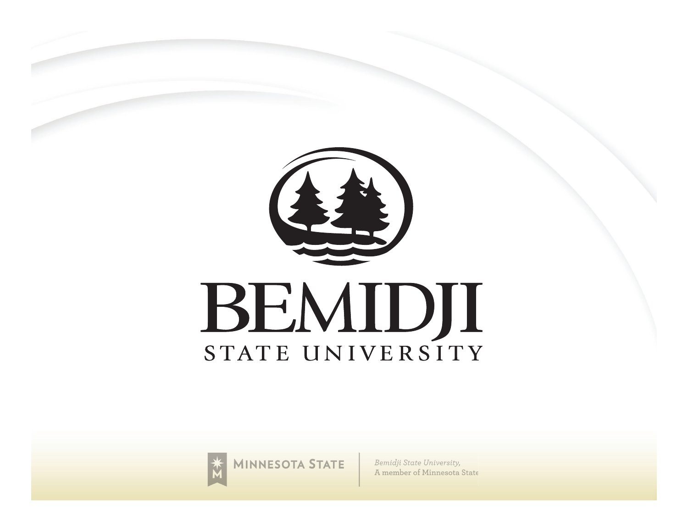



**MINNESOTA STATE** 

Bemidji State University, A member of Minnesota State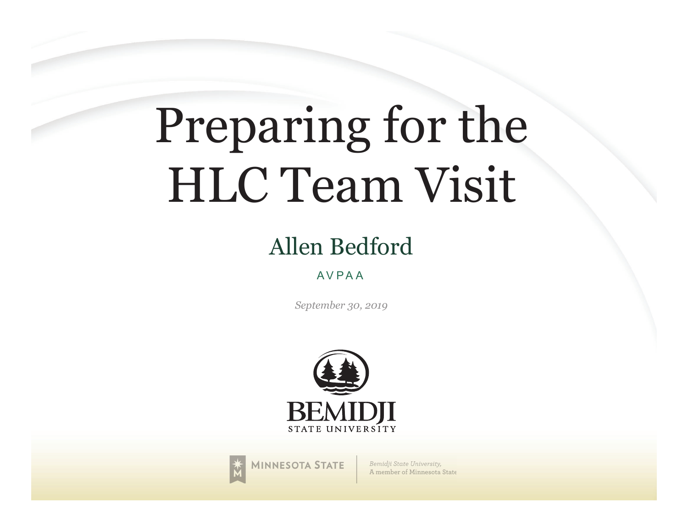# Preparing for the HLC Team Visit

### Allen Bedford

#### AVPAA

*September 30, 2019*





Bemidji State University, A member of Minnesota State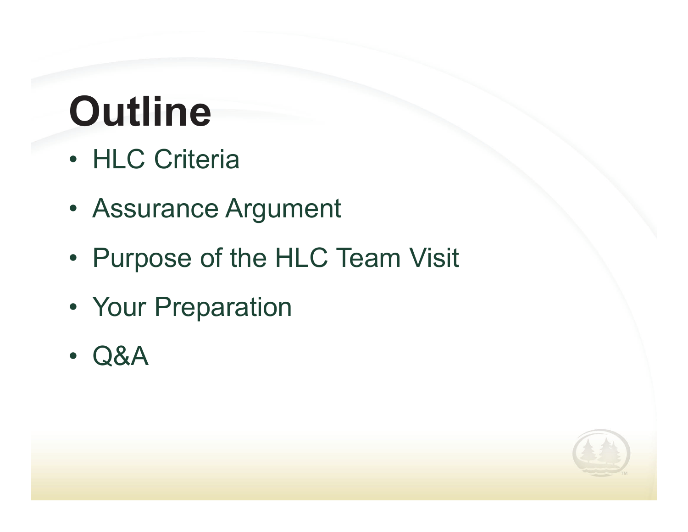# **Outline**

- HLC Criteria
- Assurance Argument
- Purpose of the HLC Team Visit
- Your Preparation
- •Q&A

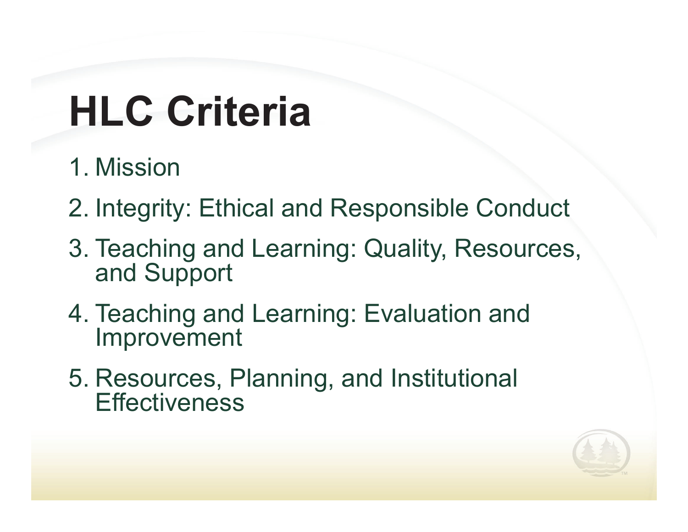# **HLC Criteria**

- 1. Mission
- 2. Integrity: Ethical and Responsible Conduct
- 3. Teaching and Learning: Quality, Resources, and Support
- 4. Teaching and Learning: Evaluation and Improvement
- 5. Resources, Planning, and Institutional **Effectiveness**

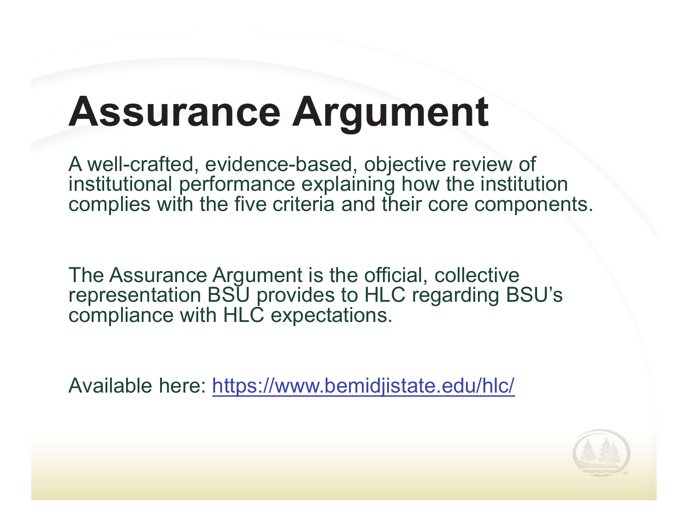## **Assurance Argument**

A well-crafted, evidence-based, objective review of institutional performance explaining how the institution complies with the five criteria and their core components.

The Assurance Argument is the official, collective representation BSU provides to HLC regarding BSU's compliance with HLC expectations.

Available here: https://www.bemidjistate.edu/hlc/

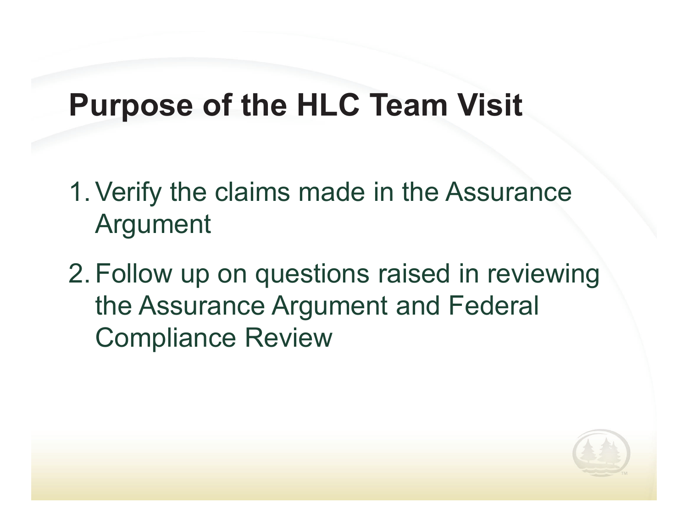### **Purpose of the HLC Team Visit**

- 1. Verify the claims made in the Assurance Argument
- 2. Follow up on questions raised in reviewing the Assurance Argument and Federal Compliance Review

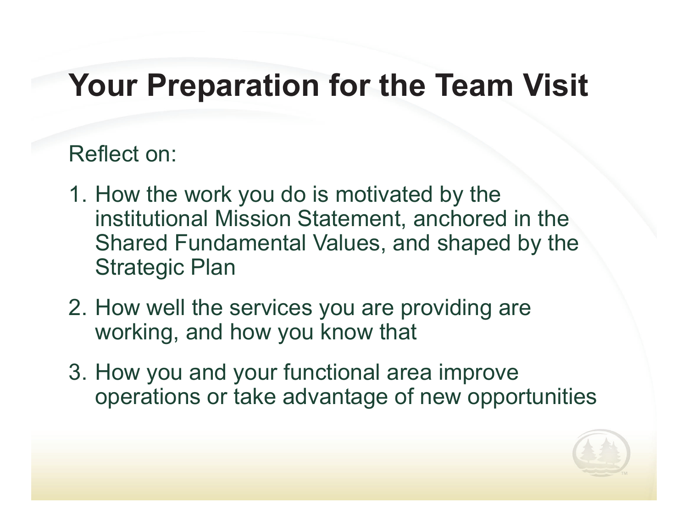### **Your Preparation for the Team Visit**

#### Reflect on:

- 1. How the work you do is motivated by the institutional Mission Statement, anchored in the Shared Fundamental Values, and shaped by the Strategic Plan
- 2. How well the services you are providing are working, and how you know that
- 3. How you and your functional area improve operations or take advantage of new opportunities

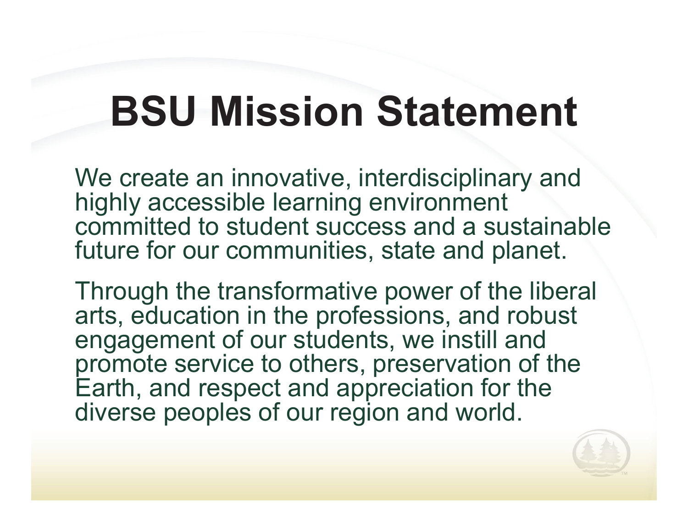## **BSU Mission Statement**

We create an innovative, interdisciplinary and highly accessible learning environment committed to student success and a sustainable future for our communities, state and planet.

Through the transformative power of the liberal arts, education in the professions, and robust engagement of our students, we instill and promote service to others, preservation of the Earth, and respect and appreciation for the diverse peoples of our region and world.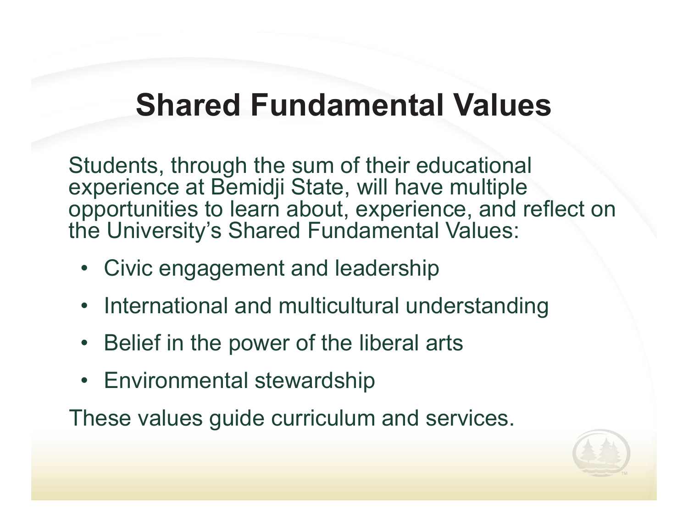### **Shared Fundamental Values**

Students, through the sum of their educational experience at Bemidji State, will have multiple opportunities to learn about, experience, and reflect on the University's Shared Fundamental Values:

- Civic engagement and leadership
- International and multicultural understanding
- Belief in the power of the liberal arts
- Environmental stewardship

These values guide curriculum and services.

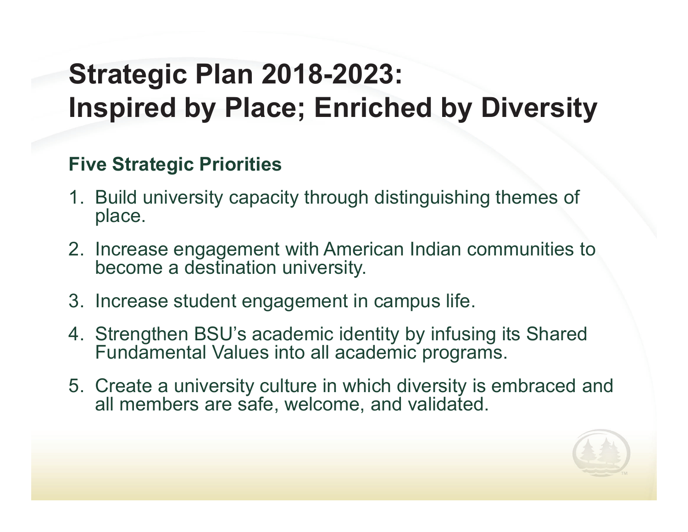### **Strategic Plan 2018-2023: Inspired by Place; Enriched by Diversity**

#### **Five Strategic Priorities**

- 1. Build university capacity through distinguishing themes of place.
- 2. Increase engagement with American Indian communities to become a destination university.
- 3. Increase student engagement in campus life.
- 4. Strengthen BSU's academic identity by infusing its Shared Fundamental Values into all academic programs.
- 5. Create a university culture in which diversity is embraced and all members are safe, welcome, and validated.